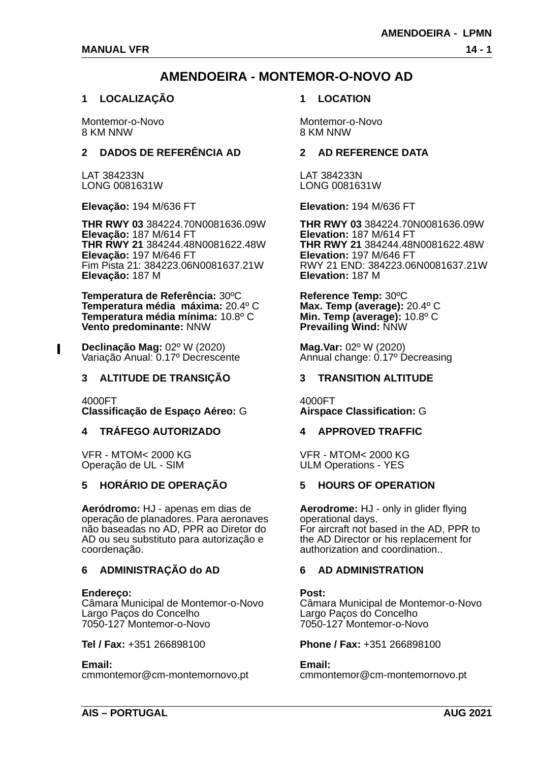# **AMENDOEIRA - MONTEMOR-O-NOVO AD**

## **1 LOCALIZAÇÃO 1 LOCATION**

Montemor-o-Novo 8 KM NNW

# **2 DADOS DE REFERÊNCIA AD 2 AD REFERENCE DATA**

LAT 384233N LONG 0081631W

**Elevação:** 194 M/636 FT

**THR RWY 03** 384224.70N0081636.09W **Elevação:** 187 M/614 FT **THR RWY 21** 384244.48N0081622.48W **Elevação:** 197 M/646 FT Fim Pista 21: 384223.06N0081637.21W **Elevação:** 187 M

**Temperatura de Referência:** 30ºC **Temperatura média máxima:** 20.4º C **Temperatura média mínima:** 10.8º C **Vento predominante:** NNW

**Declinação Mag:** 02º W (2020) Variação Anual: 0.17º Decrescente

## **3 ALTITUDE DE TRANSIÇÃO 3 TRANSITION ALTITUDE**

4000FT **Classificação de Espaço Aéreo:** G

## **4 TRÁFEGO AUTORIZADO 4 APPROVED TRAFFIC**

VFR - MTOM< 2000 KG Operação de UL - SIM

## **5 HORÁRIO DE OPERAÇÃO 5 HOURS OF OPERATION**

**Aeródromo:** HJ - apenas em dias de operação de planadores. Para aeronaves não baseadas no AD, PPR ao Diretor do AD ou seu substituto para autorização e coordenação.

# **6 ADMINISTRAÇÃO do AD 6 AD ADMINISTRATION**

### **Endereço:**

Câmara Municipal de Montemor-o-Novo Largo Pacos do Concelho 7050-127 Montemor-o-Novo

### **Email:**

cmmontemor@cm-montemornovo.pt

Montemor-o-Novo 8 KM NNW

LAT 384233N LONG 0081631W

**Elevation:** 194 M/636 FT

**THR RWY 03** 384224.70N0081636.09W **Elevation:** 187 M/614 FT **THR RWY 21** 384244.48N0081622.48W **Elevation:** 197 M/646 FT RWY 21 END: 384223.06N0081637.21W **Elevation:** 187 M

**Reference Temp:** 30ºC **Max. Temp (average):** 20.4º C **Min. Temp (average):** 10.8º C **Prevailing Wind:** NNW

**Mag.Var:** 02º W (2020) Annual change: 0.17º Decreasing

4000FT **Airspace Classification:** G

VFR - MTOM< 2000 KG ULM Operations - YES

**Aerodrome:** HJ - only in glider flying operational days. For aircraft not based in the AD, PPR to the AD Director or his replacement for authorization and coordination..

### **Post:**

Câmara Municipal de Montemor-o-Novo Largo Pacos do Concelho 7050-127 Montemor-o-Novo

**Tel / Fax:** +351 266898100 **Phone / Fax:** +351 266898100

**Email:**  cmmontemor@cm-montemornovo.pt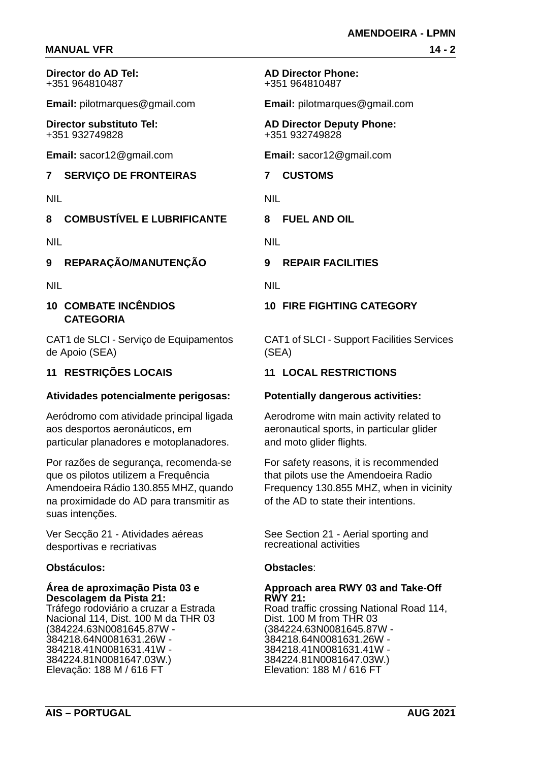**Director do AD Tel:**  +351 964810487

**Director substituto Tel:** +351 932749828

**Email:** sacor12@gmail.com **Email:** sacor12@gmail.com

## **7 SERVIÇO DE FRONTEIRAS 7 CUSTOMS**

NIL NIL

# **8 COMBUSTÍVEL E LUBRIFICANTE 8 FUEL AND OIL**

NIL NIL

**9 REPARAÇÃO/MANUTENÇÃO 9 REPAIR FACILITIES**

NIL NIL

# **10 COMBATE INCÊNDIOS CATEGORIA**

CAT1 de SLCI - Serviço de Equipamentos de Apoio (SEA)

## **Atividades potencialmente perigosas: Potentially dangerous activities:**

Aeródromo com atividade principal ligada aos desportos aeronáuticos, em particular planadores e motoplanadores.

Por razões de segurança, recomenda-se que os pilotos utilizem a Frequência Amendoeira Rádio 130.855 MHZ, quando na proximidade do AD para transmitir as suas intenções.

Ver Secção 21 - Atividades aéreas desportivas e recriativas

## **Obstáculos: Obstacles**:

### **Área de aproximação Pista 03 e Descolagem da Pista 21:**

Tráfego rodoviário a cruzar a Estrada Nacional 114, Dist. 100 M da THR 03 (384224.63N0081645.87W - 384218.64N0081631.26W - 384218.41N0081631.41W - 384224.81N0081647.03W.) Elevação: 188 M / 616 FT

**AD Director Phone:**  +351 964810487

**Email:** pilotmarques@gmail.com **Email:** pilotmarques@gmail.com

**AD Director Deputy Phone:**  +351 932749828

## **10 FIRE FIGHTING CATEGORY**

CAT1 of SLCI - Support Facilities Services (SEA)

## **11 RESTRIÇÕES LOCAIS 11 LOCAL RESTRICTIONS**

Aerodrome witn main activity related to aeronautical sports, in particular glider and moto glider flights.

For safety reasons, it is recommended that pilots use the Amendoeira Radio Frequency 130.855 MHZ, when in vicinity of the AD to state their intentions.

See Section 21 - Aerial sporting and recreational activities

### **Approach area RWY 03 and Take-Off RWY 21:**

Road traffic crossing National Road 114, Dist. 100 M from THR 03 (384224.63N0081645.87W - 384218.64N0081631.26W - 384218.41N0081631.41W - 384224.81N0081647.03W.) Elevation: 188 M / 616 FT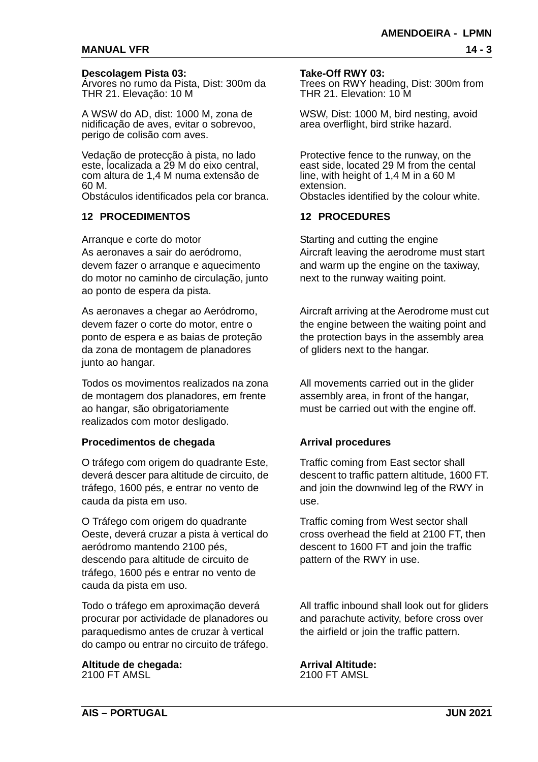## **MANUAL VFR 14 - 3**

### **Descolagem Pista 03:**

Árvores no rumo da Pista, Dist: 300m da THR 21. Elevação: 10 M

A WSW do AD, dist: 1000 M, zona de nidificação de aves, evitar o sobrevoo, perigo de colisão com aves.

Vedação de protecção à pista, no lado este, localizada a 29 M do eixo central, com altura de 1,4 M numa extensão de 60 M.

Obstáculos identificados pela cor branca.

## **12 PROCEDIMENTOS 12 PROCEDURES**

Arranque e corte do motor As aeronaves a sair do aeródromo, devem fazer o arranque e aquecimento do motor no caminho de circulação, junto ao ponto de espera da pista.

As aeronaves a chegar ao Aeródromo, devem fazer o corte do motor, entre o ponto de espera e as baias de proteção da zona de montagem de planadores junto ao hangar.

Todos os movimentos realizados na zona de montagem dos planadores, em frente ao hangar, são obrigatoriamente realizados com motor desligado.

## Procedimentos de chegada **Arrival procedures**

O tráfego com origem do quadrante Este, deverá descer para altitude de circuito, de tráfego, 1600 pés, e entrar no vento de cauda da pista em uso.

O Tráfego com origem do quadrante Oeste, deverá cruzar a pista à vertical do aeródromo mantendo 2100 pés, descendo para altitude de circuito de tráfego, 1600 pés e entrar no vento de cauda da pista em uso.

Todo o tráfego em aproximação deverá procurar por actividade de planadores ou paraquedismo antes de cruzar à vertical do campo ou entrar no circuito de tráfego.

**Altitude de chegada:** 2100 FT AMSL

## **Take-Off RWY 03:**

Trees on RWY heading, Dist: 300m from THR 21. Elevation: 10 M

WSW, Dist: 1000 M, bird nesting, avoid area overflight, bird strike hazard.

Protective fence to the runway, on the east side, located 29 M from the cental line, with height of 1,4 M in a 60 M extension. Obstacles identified by the colour white.

Starting and cutting the engine Aircraft leaving the aerodrome must start and warm up the engine on the taxiway, next to the runway waiting point.

Aircraft arriving at the Aerodrome must cut the engine between the waiting point and the protection bays in the assembly area of gliders next to the hangar.

All movements carried out in the glider assembly area, in front of the hangar, must be carried out with the engine off.

Traffic coming from East sector shall descent to traffic pattern altitude, 1600 FT. and join the downwind leg of the RWY in use.

Traffic coming from West sector shall cross overhead the field at 2100 FT, then descent to 1600 FT and join the traffic pattern of the RWY in use.

All traffic inbound shall look out for gliders and parachute activity, before cross over the airfield or join the traffic pattern.

**Arrival Altitude:** 2100 FT AMSL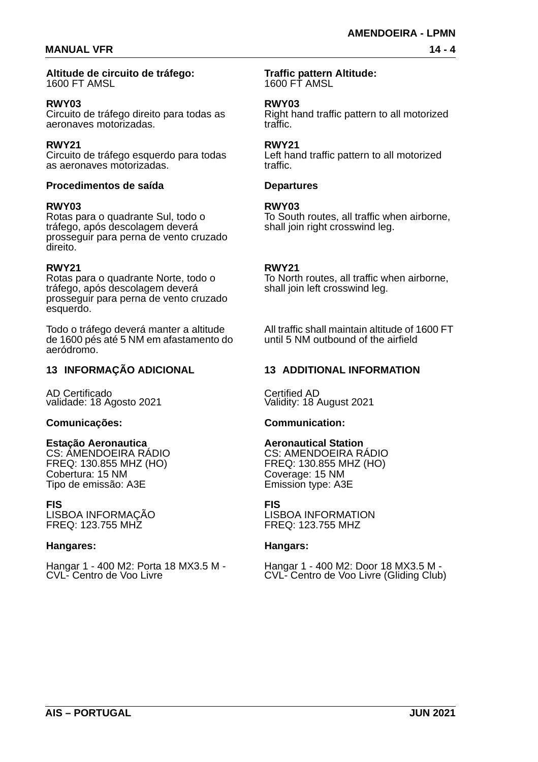### **Altitude de circuito de tráfego:** 1600 FT AMSL

### **RWY03**

Circuito de tráfego direito para todas as aeronaves motorizadas.

## **RWY21**

Circuito de tráfego esquerdo para todas as aeronaves motorizadas.

### **Procedimentos de saída Departures**

### **RWY03**

Rotas para o quadrante Sul, todo o tráfego, após descolagem deverá prosseguir para perna de vento cruzado direito.

### **RWY21**

Rotas para o quadrante Norte, todo o tráfego, após descolagem deverá prosseguir para perna de vento cruzado esquerdo.

Todo o tráfego deverá manter a altitude de 1600 pés até 5 NM em afastamento do aeródromo.

AD Certificado validade: 18 Agosto 2021

## **Estação Aeronautica**

CS: AMENDOEIRA RÁDIO FREQ: 130.855 MHZ (HO) Cobertura: 15 NM Tipo de emissão: A3E

**FIS** LISBOA INFORMAÇÃO FREQ: 123.755 MHZ

## **Hangares: Hangars:**

Hangar 1 - 400 M2: Porta 18 MX3.5 M - CVL- Centro de Voo Livre Hangar 1 - 400 M2: Door 18 MX3.5 M -

### **Traffic pattern Altitude:** 1600 FT AMSL

## **RWY03**

Right hand traffic pattern to all motorized traffic.

### **RWY21**

Left hand traffic pattern to all motorized traffic.

### **RWY03**

To South routes, all traffic when airborne, shall join right crosswind leg.

## **RWY21**

To North routes, all traffic when airborne, shall join left crosswind leg.

All traffic shall maintain altitude of 1600 FT until 5 NM outbound of the airfield

# **13 INFORMAÇÃO ADICIONAL 13 ADDITIONAL INFORMATION**

Certified AD Validity: 18 August 2021

## **Comunicações: Communication:**

# **Aeronautical Station**

CS: AMENDOEIRA RÁDIO FREQ: 130.855 MHZ (HO) Coverage: 15 NM Emission type: A3E

## **FIS**

LISBOA INFORMATION FREQ: 123.755 MHZ

CVL- Centro de Voo Livre (Gliding Club)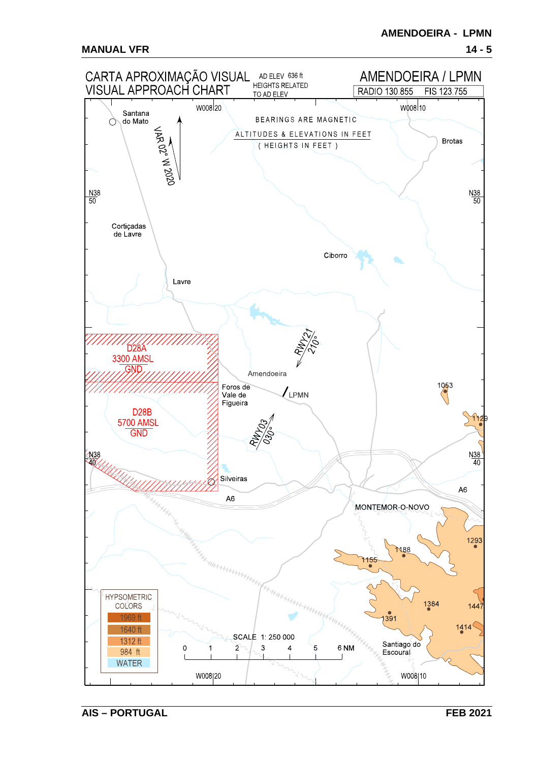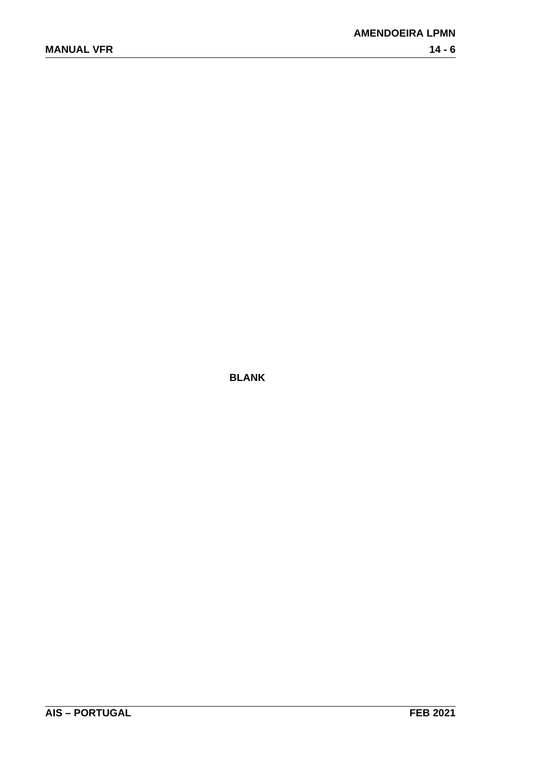**BLANK**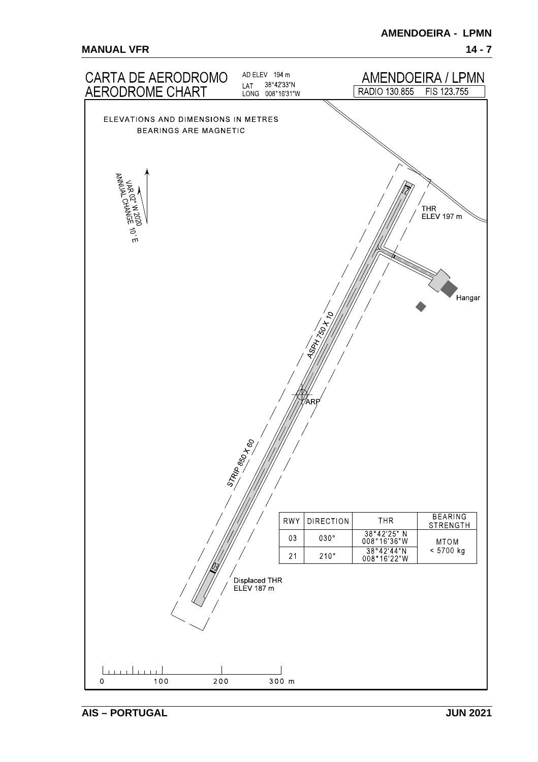